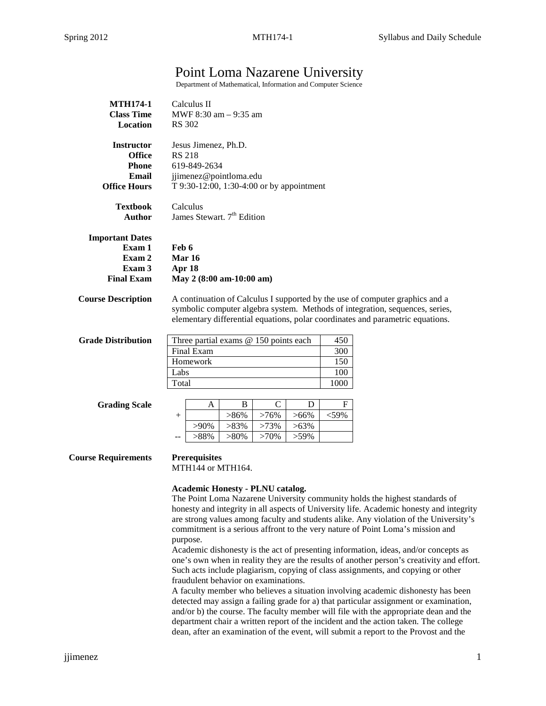# Point Loma Nazarene University

Department of Mathematical, Information and Computer Science

| <b>MTH174-1</b><br><b>Class Time</b><br>Location                                   | Calculus II<br>MWF 8:30 am - 9:35 am<br><b>RS</b> 302                                                                                                                                                                                                                                                                                                                                                                                                                                                                                                                                                                                                                            |  |  |  |
|------------------------------------------------------------------------------------|----------------------------------------------------------------------------------------------------------------------------------------------------------------------------------------------------------------------------------------------------------------------------------------------------------------------------------------------------------------------------------------------------------------------------------------------------------------------------------------------------------------------------------------------------------------------------------------------------------------------------------------------------------------------------------|--|--|--|
| <b>Instructor</b><br><b>Office</b><br><b>Phone</b><br>Email<br><b>Office Hours</b> | Jesus Jimenez, Ph.D.<br><b>RS 218</b><br>619-849-2634<br>jjimenez@pointloma.edu<br>T 9:30-12:00, 1:30-4:00 or by appointment                                                                                                                                                                                                                                                                                                                                                                                                                                                                                                                                                     |  |  |  |
| <b>Textbook</b><br><b>Author</b>                                                   | Calculus<br>James Stewart. 7 <sup>th</sup> Edition                                                                                                                                                                                                                                                                                                                                                                                                                                                                                                                                                                                                                               |  |  |  |
| <b>Important Dates</b><br>Exam 1<br>Exam 2<br>Exam 3<br><b>Final Exam</b>          | Feb 6<br>Mar 16<br>Apr 18<br>May 2 (8:00 am-10:00 am)                                                                                                                                                                                                                                                                                                                                                                                                                                                                                                                                                                                                                            |  |  |  |
| <b>Course Description</b>                                                          | A continuation of Calculus I supported by the use of computer graphics and a<br>symbolic computer algebra system. Methods of integration, sequences, series,<br>elementary differential equations, polar coordinates and parametric equations.                                                                                                                                                                                                                                                                                                                                                                                                                                   |  |  |  |
| <b>Grade Distribution</b>                                                          | Three partial exams @ 150 points each<br>450<br>Final Exam<br>300<br>Homework<br>150<br>Labs<br>100<br>1000<br>Total                                                                                                                                                                                                                                                                                                                                                                                                                                                                                                                                                             |  |  |  |
| <b>Grading Scale</b>                                                               | $\mathsf{C}$<br>B<br>D<br>F<br>A<br>$>86\%$<br>$>76\%$<br>$>66\%$<br>$<$ 59%<br>$\! +$<br>$>90\%$<br>$>83\%$<br>$>73\%$<br>$>63\%$<br>>88%<br>$>80\%$<br>$>70\%$<br>$>59\%$                                                                                                                                                                                                                                                                                                                                                                                                                                                                                                      |  |  |  |
| <b>Course Requirements</b>                                                         | <b>Prerequisites</b><br>MTH144 or MTH164.                                                                                                                                                                                                                                                                                                                                                                                                                                                                                                                                                                                                                                        |  |  |  |
|                                                                                    | <b>Academic Honesty - PLNU catalog.</b><br>The Point Loma Nazarene University community holds the highest standards of<br>honesty and integrity in all aspects of University life. Academic honesty and integrity<br>are strong values among faculty and students alike. Any violation of the University's<br>commitment is a serious affront to the very nature of Point Loma's mission and<br>purpose.<br>Academic dishonesty is the act of presenting information, ideas, and/or concepts as<br>one's own when in reality they are the results of another person's creativity and effort.<br>Such acts include plagiarism, copying of class assignments, and copying or other |  |  |  |

fraudulent behavior on examinations. A faculty member who believes a situation involving academic dishonesty has been detected may assign a failing grade for a) that particular assignment or examination, and/or b) the course. The faculty member will file with the appropriate dean and the department chair a written report of the incident and the action taken. The college dean, after an examination of the event, will submit a report to the Provost and the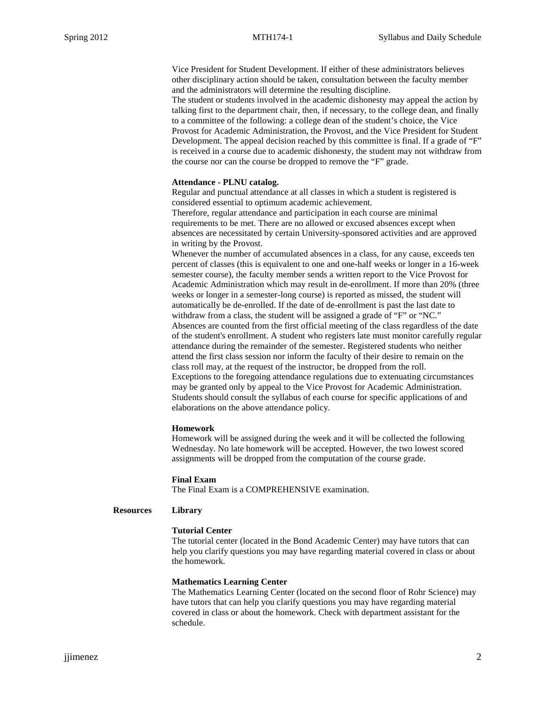Vice President for Student Development. If either of these administrators believes other disciplinary action should be taken, consultation between the faculty member and the administrators will determine the resulting discipline.

The student or students involved in the academic dishonesty may appeal the action by talking first to the department chair, then, if necessary, to the college dean, and finally to a committee of the following: a college dean of the student's choice, the Vice Provost for Academic Administration, the Provost, and the Vice President for Student Development. The appeal decision reached by this committee is final. If a grade of "F" is received in a course due to academic dishonesty, the student may not withdraw from the course nor can the course be dropped to remove the "F" grade.

### **Attendance - PLNU catalog.**

Regular and punctual attendance at all classes in which a student is registered is considered essential to optimum academic achievement.

Therefore, regular attendance and participation in each course are minimal requirements to be met. There are no allowed or excused absences except when absences are necessitated by certain University-sponsored activities and are approved in writing by the Provost.

Whenever the number of accumulated absences in a class, for any cause, exceeds ten percent of classes (this is equivalent to one and one-half weeks or longer in a 16-week semester course), the faculty member sends a written report to the Vice Provost for Academic Administration which may result in de-enrollment. If more than 20% (three weeks or longer in a semester-long course) is reported as missed, the student will automatically be de-enrolled. If the date of de-enrollment is past the last date to withdraw from a class, the student will be assigned a grade of "F" or "NC." Absences are counted from the first official meeting of the class regardless of the date of the student's enrollment. A student who registers late must monitor carefully regular attendance during the remainder of the semester. Registered students who neither attend the first class session nor inform the faculty of their desire to remain on the class roll may, at the request of the instructor, be dropped from the roll. Exceptions to the foregoing attendance regulations due to extenuating circumstances may be granted only by appeal to the Vice Provost for Academic Administration. Students should consult the syllabus of each course for specific applications of and elaborations on the above attendance policy.

#### **Homework**

Homework will be assigned during the week and it will be collected the following Wednesday. No late homework will be accepted. However, the two lowest scored assignments will be dropped from the computation of the course grade.

#### **Final Exam**

The Final Exam is a COMPREHENSIVE examination.

## **Resources Library**

## **Tutorial Center**

The tutorial center (located in the Bond Academic Center) may have tutors that can help you clarify questions you may have regarding material covered in class or about the homework.

#### **Mathematics Learning Center**

The Mathematics Learning Center (located on the second floor of Rohr Science) may have tutors that can help you clarify questions you may have regarding material covered in class or about the homework. Check with department assistant for the schedule.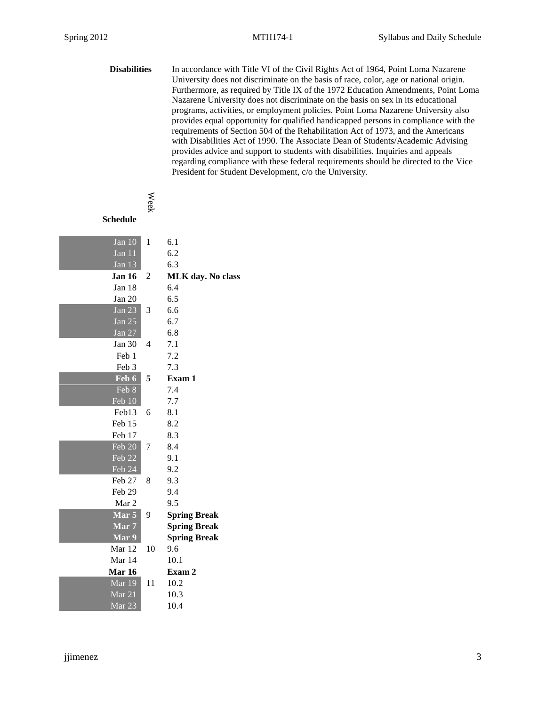**Disabilities** In accordance with Title VI of the Civil Rights Act of 1964, Point Loma Nazarene University does not discriminate on the basis of race, color, age or national origin. Furthermore, as required by Title IX of the 1972 Education Amendments, Point Loma Nazarene University does not discriminate on the basis on sex in its educational programs, activities, or employment policies. Point Loma Nazarene University also provides equal opportunity for qualified handicapped persons in compliance with the requirements of Section 504 of the Rehabilitation Act of 1973, and the Americans with Disabilities Act of 1990. The Associate Dean of Students/Academic Advising provides advice and support to students with disabilities. Inquiries and appeals regarding compliance with these federal requirements should be directed to the Vice President for Student Development, c/o the University.

## **Schedule**

Week

| Jan 10               | 1  | 6.1                      |
|----------------------|----|--------------------------|
| Jan 11               |    | 6.2                      |
| Jan 13               |    | 6.3                      |
| <b>Jan 16</b>        | 2  | <b>MLK</b> day. No class |
| Jan 18               |    | 6.4                      |
| Jan 20               |    | 6.5                      |
| $\overline{J}$ an 23 | 3  | 6.6                      |
| Jan $25$             |    | 6.7                      |
| <b>Jan 27</b>        |    | 6.8                      |
| Jan 30               | 4  | 7.1                      |
| Feb 1                |    | 7.2                      |
| Feb 3                |    | 7.3                      |
| Feb 6                | 5  | Exam 1                   |
| Feb 8                |    | 7.4                      |
| Feb 10               |    | 7.7                      |
| Feb13                | 6  | 8.1                      |
| Feb 15               |    | 8.2                      |
| Feb 17               |    | 8.3                      |
| Feb 20               | 7  | 8.4                      |
| Feb 22               |    | 9.1                      |
| Feb 24               |    | 9.2                      |
| Feb 27               | 8  | 9.3                      |
| Feb 29               |    | 9.4                      |
| Mar 2                |    | 9.5                      |
| Mar 5                | 9  | <b>Spring Break</b>      |
| Mar 7                |    | <b>Spring Break</b>      |
| Mar 9                |    | <b>Spring Break</b>      |
| Mar 12               | 10 | 9.6                      |
| Mar 14               |    | 10.1                     |
| Mar 16               |    | Exam 2                   |
| Mar 19               | 11 | 10.2                     |
| Mar 21               |    | 10.3                     |
| Mar <sub>23</sub>    |    | 10.4                     |